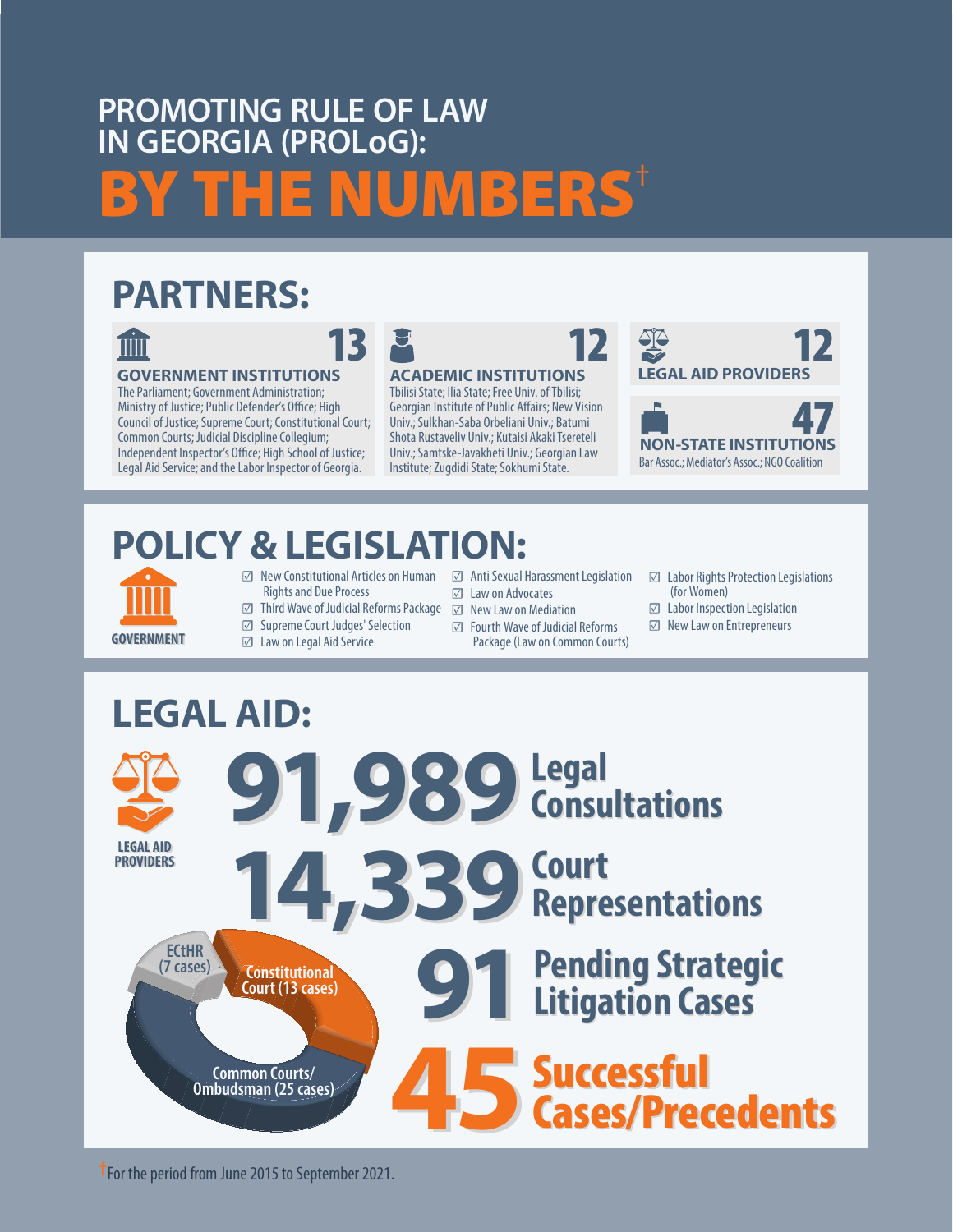# **PROMOTING RULE OF LAW IN GEORGIA (PROLoG):** BY THE NUMBERS<sup>†</sup>

### **PARTNERS:**



### **GOVERNMENT INSTITUTIONS**

The Parliament; Government Administration; Ministry of Justice; Public Defender's Office; High Council of Justice; Supreme Court; Constitutional Court; Common Courts; Judicial Discipline Collegium; Independent Inspector's Office; High School of Justice; Legal Aid Service; and the Labor Inspector of Georgia.



### **ACADEMIC INSTITUTIONS**

Tbilisi State; Ilia State; Free Univ. of Tbilisi; Georgian Institute of Public Affairs; New Vision Univ.; Sulkhan-Saba Orbeliani Univ.; Batumi Shota Rustaveliv Univ.; Kutaisi Akaki Tsereteli Univ.; Samtske-Javakheti Univ.; Georgian Law Institute; Zugdidi State; Sokhumi State.



# **POLICY & LEGISLATION:**

- 
- ☑ New Constitutional Articles on Human Rights and Due Process
- ☑ Third Wave of Judicial Reforms Package ☑ New Law on Mediation
- ☑ Supreme Court Judges' Selection
- ☑ Law on Legal Aid Service
- ☑ Law on Advocates
- 
- ☑ Fourth Wave of Judicial Reforms **GOVERNMENT** *I* Law on Legal Aid Service Package (Law on Common Courts)

☑ Anti Sexual Harassment Legislation

- ☑ Labor Rights Protection Legislations (for Women)
- ☑ Labor Inspection Legislation
- ☑ New Law on Entrepreneurs



#### **LEGAL AID LEGAL AID PROVIDERS PROVIDERS 91,989Legal Consultations Legal Consultations 14,339Court Representations Court Representations 91** Pending Strategic<br>Litigation Cases **Litigation Cases Pending Strategic Litigation Cases** 45 Successful<br>Cases/Pred Cases/Precedents Cases/Precedents **Successful Common Courts/ Ombudsman (25 cases) Constitutional Court (13 cases) ECtHR (7 cases)**

†For the period from June 2015 to September 2021.